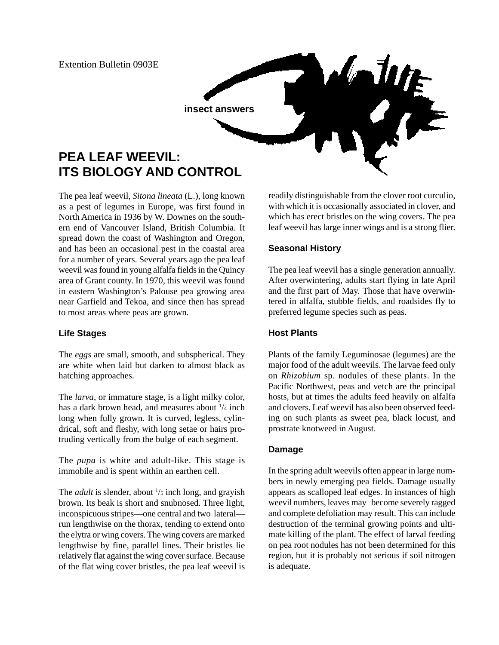

The pea leaf weevil, *Sitona lineata* (L.), long known as a pest of legumes in Europe, was first found in North America in 1936 by W. Downes on the southern end of Vancouver Island, British Columbia. It spread down the coast of Washington and Oregon, and has been an occasional pest in the coastal area for a number of years. Several years ago the pea leaf weevil was found in young alfalfa fields in the Quincy area of Grant county. In 1970, this weevil was found in eastern Washington's Palouse pea growing area near Garfield and Tekoa, and since then has spread to most areas where peas are grown.

### **Life Stages**

The *eggs* are small, smooth, and subspherical. They are white when laid but darken to almost black as hatching approaches.

The *larva*, or immature stage, is a light milky color, has a dark brown head, and measures about  $\frac{1}{4}$  inch long when fully grown. It is curved, legless, cylindrical, soft and fleshy, with long setae or hairs protruding vertically from the bulge of each segment.

The *pupa* is white and adult-like. This stage is immobile and is spent within an earthen cell.

The *adult* is slender, about  $\frac{1}{5}$  inch long, and grayish brown. Its beak is short and snubnosed. Three light, inconspicuous stripes—one central and two lateral run lengthwise on the thorax, tending to extend onto the elytra or wing covers. The wing covers are marked lengthwise by fine, parallel lines. Their bristles lie relatively flat against the wing cover surface. Because of the flat wing cover bristles, the pea leaf weevil is readily distinguishable from the clover root curculio, with which it is occasionally associated in clover, and which has erect bristles on the wing covers. The pea leaf weevil has large inner wings and is a strong flier.

## **Seasonal History**

The pea leaf weevil has a single generation annually. After overwintering, adults start flying in late April and the first part of May. Those that have overwintered in alfalfa, stubble fields, and roadsides fly to preferred legume species such as peas.

### **Host Plants**

Plants of the family Leguminosae (legumes) are the major food of the adult weevils. The larvae feed only on *Rhizobium* sp. nodules of these plants. In the Pacific Northwest, peas and vetch are the principal hosts, but at times the adults feed heavily on alfalfa and clovers. Leaf weevil has also been observed feeding on such plants as sweet pea, black locust, and prostrate knotweed in August.

### **Damage**

In the spring adult weevils often appear in large numbers in newly emerging pea fields. Damage usually appears as scalloped leaf edges. In instances of high weevil numbers, leaves may become severely ragged and complete defoliation may result. This can include destruction of the terminal growing points and ultimate killing of the plant. The effect of larval feeding on pea root nodules has not been determined for this region, but it is probably not serious if soil nitrogen is adequate.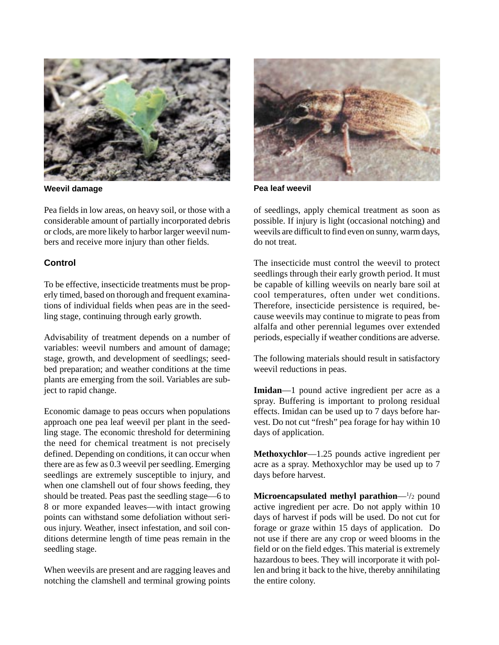

Pea fields in low areas, on heavy soil, or those with a considerable amount of partially incorporated debris or clods, are more likely to harbor larger weevil numbers and receive more injury than other fields.

# **Control**

To be effective, insecticide treatments must be properly timed, based on thorough and frequent examinations of individual fields when peas are in the seedling stage, continuing through early growth.

Advisability of treatment depends on a number of variables: weevil numbers and amount of damage; stage, growth, and development of seedlings; seedbed preparation; and weather conditions at the time plants are emerging from the soil. Variables are subject to rapid change.

Economic damage to peas occurs when populations approach one pea leaf weevil per plant in the seedling stage. The economic threshold for determining the need for chemical treatment is not precisely defined. Depending on conditions, it can occur when there are as few as 0.3 weevil per seedling. Emerging seedlings are extremely susceptible to injury, and when one clamshell out of four shows feeding, they should be treated. Peas past the seedling stage—6 to 8 or more expanded leaves—with intact growing points can withstand some defoliation without serious injury. Weather, insect infestation, and soil conditions determine length of time peas remain in the seedling stage.

When weevils are present and are ragging leaves and notching the clamshell and terminal growing points



**Weevil damage Pea leaf weevil**

of seedlings, apply chemical treatment as soon as possible. If injury is light (occasional notching) and weevils are difficult to find even on sunny, warm days, do not treat.

The insecticide must control the weevil to protect seedlings through their early growth period. It must be capable of killing weevils on nearly bare soil at cool temperatures, often under wet conditions. Therefore, insecticide persistence is required, because weevils may continue to migrate to peas from alfalfa and other perennial legumes over extended periods, especially if weather conditions are adverse.

The following materials should result in satisfactory weevil reductions in peas.

**Imidan**—1 pound active ingredient per acre as a spray. Buffering is important to prolong residual effects. Imidan can be used up to 7 days before harvest. Do not cut "fresh" pea forage for hay within 10 days of application.

**Methoxychlor**—1.25 pounds active ingredient per acre as a spray. Methoxychlor may be used up to 7 days before harvest.

**Microencapsulated methyl parathion—**<sup>1</sup>/2 pound active ingredient per acre. Do not apply within 10 days of harvest if pods will be used. Do not cut for forage or graze within 15 days of application. Do not use if there are any crop or weed blooms in the field or on the field edges. This material is extremely hazardous to bees. They will incorporate it with pollen and bring it back to the hive, thereby annihilating the entire colony.